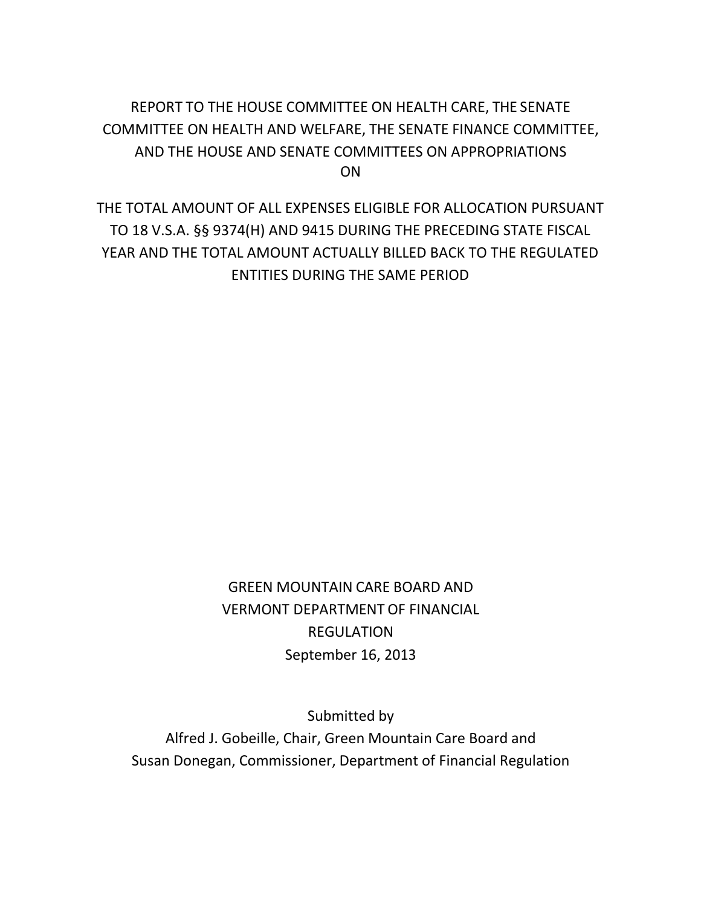# REPORT TO THE HOUSE COMMITTEE ON HEALTH CARE, THE SENATE COMMITTEE ON HEALTH AND WELFARE, THE SENATE FINANCE COMMITTEE, AND THE HOUSE AND SENATE COMMITTEES ON APPROPRIATIONS ON

THE TOTAL AMOUNT OF ALL EXPENSES ELIGIBLE FOR ALLOCATION PURSUANT TO 18 V.S.A. §§ 9374(H) AND 9415 DURING THE PRECEDING STATE FISCAL YEAR AND THE TOTAL AMOUNT ACTUALLY BILLED BACK TO THE REGULATED ENTITIES DURING THE SAME PERIOD

> GREEN MOUNTAIN CARE BOARD AND VERMONT DEPARTMENT OF FINANCIAL REGULATION September 16, 2013

Submitted by Alfred J. Gobeille, Chair, Green Mountain Care Board and Susan Donegan, Commissioner, Department of Financial Regulation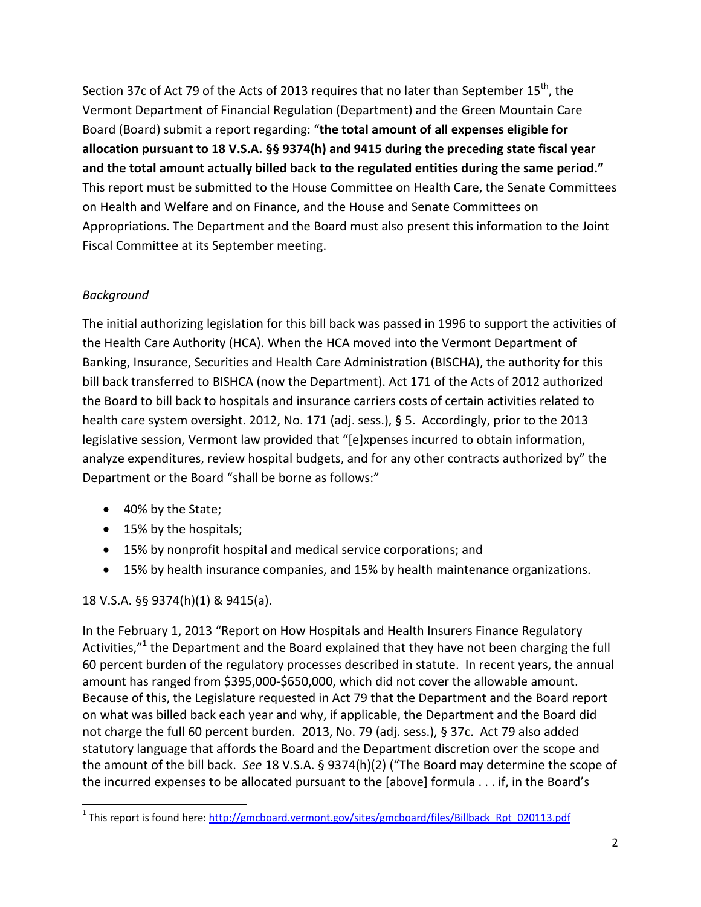Section 37c of Act 79 of the Acts of 2013 requires that no later than September 15<sup>th</sup>, the Vermont Department of Financial Regulation (Department) and the Green Mountain Care Board (Board) submit a report regarding: "**the total amount of all expenses eligible for allocation pursuant to 18 V.S.A. §§ 9374(h) and 9415 during the preceding state fiscal year and the total amount actually billed back to the regulated entities during the same period."** This report must be submitted to the House Committee on Health Care, the Senate Committees on Health and Welfare and on Finance, and the House and Senate Committees on Appropriations. The Department and the Board must also present this information to the Joint Fiscal Committee at its September meeting.

## *Background*

The initial authorizing legislation for this bill back was passed in 1996 to support the activities of the Health Care Authority (HCA). When the HCA moved into the Vermont Department of Banking, Insurance, Securities and Health Care Administration (BISCHA), the authority for this bill back transferred to BISHCA (now the Department). Act 171 of the Acts of 2012 authorized the Board to bill back to hospitals and insurance carriers costs of certain activities related to health care system oversight. 2012, No. 171 (adj. sess.), § 5. Accordingly, prior to the 2013 legislative session, Vermont law provided that "[e]xpenses incurred to obtain information, analyze expenditures, review hospital budgets, and for any other contracts authorized by" the Department or the Board "shall be borne as follows:"

- 40% by the State;
- 15% by the hospitals;
- 15% by nonprofit hospital and medical service corporations; and
- 15% by health insurance companies, and 15% by health maintenance organizations.

## 18 V.S.A. §§ 9374(h)(1) & 9415(a).

In the February 1, 2013 "Report on How Hospitals and Health Insurers Finance Regulatory Activities,"<sup>[1](#page-1-0)</sup> the Department and the Board explained that they have not been charging the full 60 percent burden of the regulatory processes described in statute. In recent years, the annual amount has ranged from \$395,000-\$650,000, which did not cover the allowable amount. Because of this, the Legislature requested in Act 79 that the Department and the Board report on what was billed back each year and why, if applicable, the Department and the Board did not charge the full 60 percent burden. 2013, No. 79 (adj. sess.), § 37c. Act 79 also added statutory language that affords the Board and the Department discretion over the scope and the amount of the bill back. *See* 18 V.S.A. § 9374(h)(2) ("The Board may determine the scope of the incurred expenses to be allocated pursuant to the [above] formula . . . if, in the Board's

<span id="page-1-0"></span><sup>&</sup>lt;sup>1</sup> This report is found here: <u>http://gmcboard.vermont.gov/sites/gmcboard/files/Billback\_Rpt\_020113.pdf</u>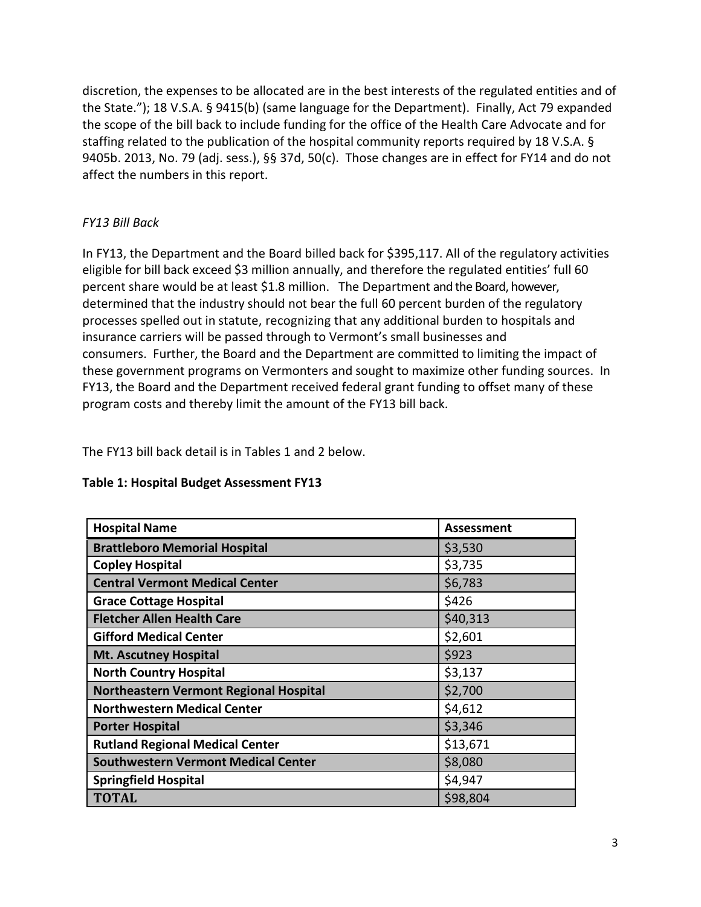discretion, the expenses to be allocated are in the best interests of the regulated entities and of the State."); 18 V.S.A. § 9415(b) (same language for the Department). Finally, Act 79 expanded the scope of the bill back to include funding for the office of the Health Care Advocate and for staffing related to the publication of the hospital community reports required by 18 V.S.A. § 9405b. 2013, No. 79 (adj. sess.), §§ 37d, 50(c). Those changes are in effect for FY14 and do not affect the numbers in this report.

### *FY13 Bill Back*

In FY13, the Department and the Board billed back for \$395,117. All of the regulatory activities eligible for bill back exceed \$3 million annually, and therefore the regulated entities' full 60 percent share would be at least \$1.8 million. The Department and the Board, however, determined that the industry should not bear the full 60 percent burden of the regulatory processes spelled out in statute, recognizing that any additional burden to hospitals and insurance carriers will be passed through to Vermont's small businesses and consumers. Further, the Board and the Department are committed to limiting the impact of these government programs on Vermonters and sought to maximize other funding sources. In FY13, the Board and the Department received federal grant funding to offset many of these program costs and thereby limit the amount of the FY13 bill back.

The FY13 bill back detail is in Tables 1 and 2 below.

| <b>Hospital Name</b>                          | Assessment |
|-----------------------------------------------|------------|
| <b>Brattleboro Memorial Hospital</b>          | \$3,530    |
| <b>Copley Hospital</b>                        | \$3,735    |
| <b>Central Vermont Medical Center</b>         | \$6,783    |
| <b>Grace Cottage Hospital</b>                 | \$426      |
| <b>Fletcher Allen Health Care</b>             | \$40,313   |
| <b>Gifford Medical Center</b>                 | \$2,601    |
| <b>Mt. Ascutney Hospital</b>                  | \$923      |
| <b>North Country Hospital</b>                 | \$3,137    |
| <b>Northeastern Vermont Regional Hospital</b> | \$2,700    |
| <b>Northwestern Medical Center</b>            | \$4,612    |
| <b>Porter Hospital</b>                        | \$3,346    |
| <b>Rutland Regional Medical Center</b>        | \$13,671   |
| <b>Southwestern Vermont Medical Center</b>    | \$8,080    |
| <b>Springfield Hospital</b>                   | \$4,947    |
| <b>TOTAL</b>                                  | \$98,804   |

#### **Table 1: Hospital Budget Assessment FY13**